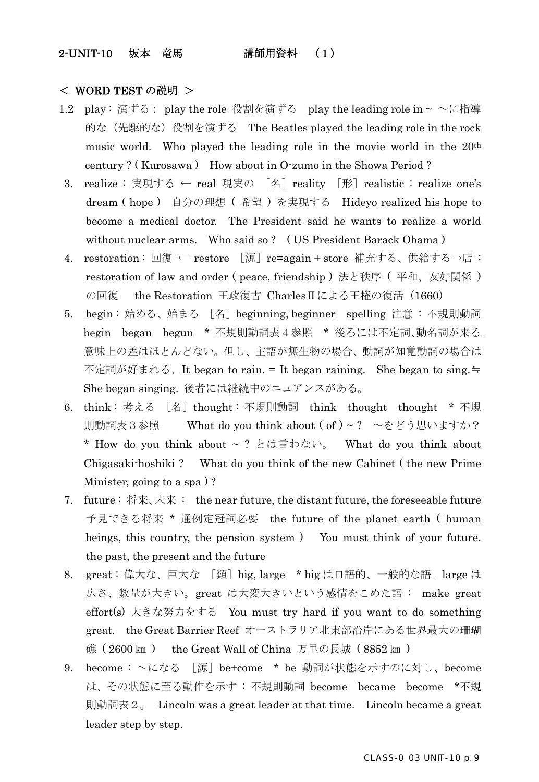### 2-UNIT-10 坂本 竜馬 講師用資料 (1)

#### < WORD TEST の説明 >

- 1.2 play: 演ずる: play the role 役割を演ずる play the leading role in ~ ~に指導 的な(先駆的な)役割を演ずる The Beatles played the leading role in the rock music world. Who played the leading role in the movie world in the 20th century ? ( Kurosawa ) How about in O-zumo in the Showa Period ?
	- 3. realize : 実現する ← real 現実の [名]reality [形]realistic : realize one's dream ( hope ) 自分の理想 ( 希望 ) を実現する Hideyo realized his hope to become a medical doctor. The President said he wants to realize a world without nuclear arms. Who said so? (US President Barack Obama)
- 4. restoration : 回復 ← restore [源]re=again + store 補充する、供給する→店 : restoration of law and order ( peace, friendship ) 法と秩序 ( 平和、友好関係 ) の回復 the Restoration 王政復古 Charles Ⅱによる王権の復活 (1660)
- 5. begin : 始める、始まる [名]beginning, beginner spelling 注意 : 不規則動詞 begin began begun \* 不規則動詞表4参照 \* 後ろには不定詞、動名詞が来る。 意味上の差はほとんどない。但し、主語が無生物の場合、動詞が知覚動詞の場合は 不定詞が好まれる。It began to rain. = It began raining. She began to sing.≒ She began singing. 後者には継続中のニュアンスがある。
- 6. think : 考える [名]thought : 不規則動詞 think thought thought \* 不規 則動詞表3参照 What do you think about ( of ) ~ ? ~をどう思いますか? \* How do you think about  $\sim$  ? とは言わない。 What do you think about Chigasaki-hoshiki ? What do you think of the new Cabinet ( the new Prime Minister, going to a spa ) ?
- 7. future : 将来、未来 : the near future, the distant future, the foreseeable future 予見できる将来 \* 通例定冠詞必要 the future of the planet earth ( human beings, this country, the pension system ) You must think of your future. the past, the present and the future
- 8. great:偉大な、巨大な [類] big, large \* big は口語的、一般的な語。large は 広さ、数量が大きい。great は大変大きいという感情をこめた語 : make great effort(s) 大きな努力をする You must try hard if you want to do something great. the Great Barrier Reef オーストラリア北東部沿岸にある世界最大の珊瑚 礁 ( 2600 ㎞ ) the Great Wall of China 万里の長城 ( 8852 ㎞ )
- 9. become : ~になる [源]be+come \* be 動詞が状態を示すのに対し、become は、その状態に至る動作を示す : 不規則動詞 become became become \*不規 則動詞表2。 Lincoln was a great leader at that time. Lincoln became a great leader step by step.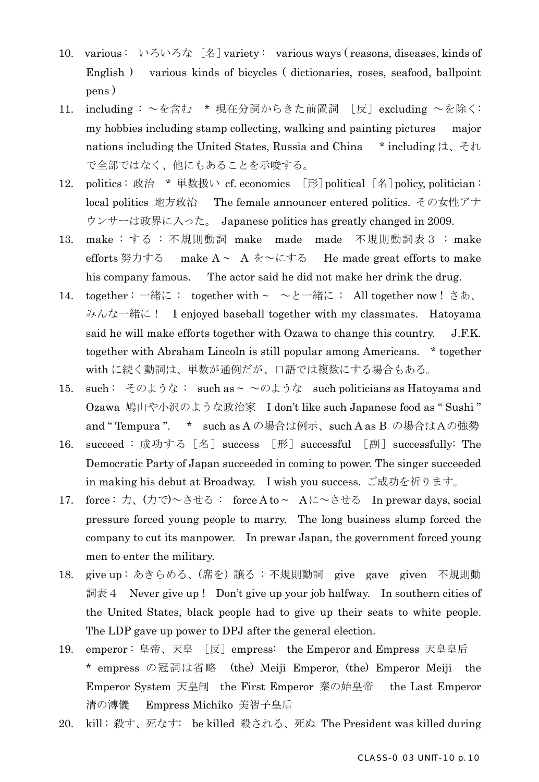- 10. various : いろいろな [名]variety : various ways ( reasons, diseases, kinds of English ) various kinds of bicycles ( dictionaries, roses, seafood, ballpoint pens )
- 11. including : ~を含む \* 現在分詞からきた前置詞 [反] excluding ~を除く: my hobbies including stamp collecting, walking and painting pictures major nations including the United States, Russia and China \* including  $\forall x, \forall y$ で全部ではなく、他にもあることを示唆する。
- 12. politics: 政治 \* 単数扱い cf. economics [形] political [名] policy, politician : local politics 地方政治 The female announcer entered politics. その女性アナ ウンサーは政界に入った。 Japanese politics has greatly changed in 2009.
- 13. make : する : 不規則動詞 make made made 不規則動詞表3 : make efforts 努力する make A ~ A を~にする He made great efforts to make his company famous. The actor said he did not make her drink the drug.
- 14. together : 一緒に : together with ~ ~と一緒に : All together now ! さあ、 みんな一緒に! I enjoyed baseball together with my classmates. Hatoyama said he will make efforts together with Ozawa to change this country. J.F.K. together with Abraham Lincoln is still popular among Americans. \* together with に続く動詞は、単数が通例だが、口語では複数にする場合もある。
- 15. such: そのような: such as ~  $\sim$ のような such politicians as Hatoyama and Ozawa 鳩山や小沢のような政治家 I don't like such Japanese food as " Sushi " and " Tempura ". \* such as A の場合は例示、such A as B の場合はAの強勢
- 16. succeed : 成功する [名] success [形] successful [副] successfully: The Democratic Party of Japan succeeded in coming to power. The singer succeeded in making his debut at Broadway. I wish you success. ご成功を祈ります。
- 17. force: 力、(力で)~させる: force A to~ Aに~させる In prewar days, social pressure forced young people to marry. The long business slump forced the company to cut its manpower. In prewar Japan, the government forced young men to enter the military.
- 18. give up : あきらめる、(席を)譲る : 不規則動詞 give gave given 不規則動 詞表4 Never give up ! Don't give up your job halfway. In southern cities of the United States, black people had to give up their seats to white people. The LDP gave up power to DPJ after the general election.
- 19. emperor: 皇帝、天皇 [反]empress: the Emperor and Empress 天皇皇后 \* empress の冠詞は省略 (the) Meiji Emperor, (the) Emperor Meiji the Emperor System 天皇制 the First Emperor 秦の始皇帝 the Last Emperor 清の溥儀 Empress Michiko 美智子皇后
- 20. kill: 殺す、死なす: be killed 殺される、死ぬ The President was killed during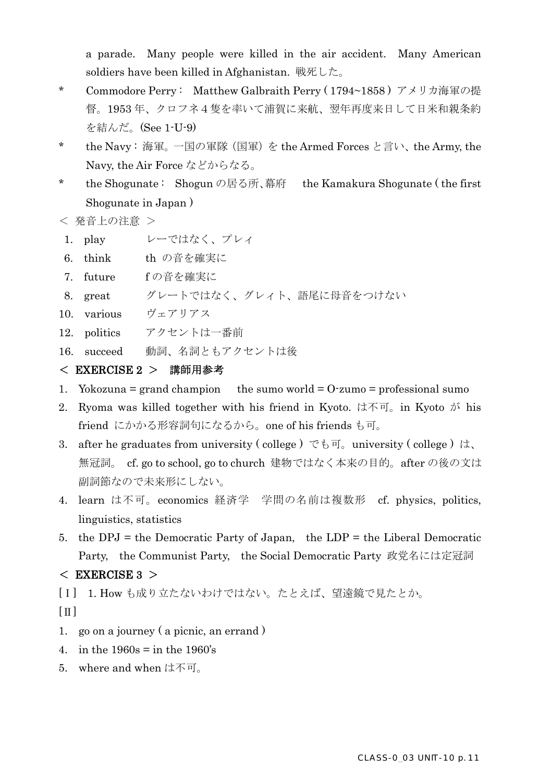a parade. Many people were killed in the air accident. Many American soldiers have been killed in Afghanistan. 戦死した。

- \* Commodore Perry: Matthew Galbraith Perry (1794~1858) アメリカ海軍の提 督。1953 年、クロフネ4隻を率いて浦賀に来航、翌年再度来日して日米和親条約 を結んだ。(See 1-U-9)
- \* the Navy : 海軍。一国の軍隊(国軍)を the Armed Forces と言い、the Army, the Navy, the Air Force などからなる。
- \* the Shogunate : Shogun の居る所、幕府 the Kamakura Shogunate ( the first Shogunate in Japan )

< 発音上の注意 >

- 1. play レーではなく、プレィ
- 6. think th の音を確実に
- 7. future f の音を確実に
- 8. great グレートではなく、グレィト、語尾に母音をつけない
- 10. various ヴェアリアス
- 12. politics アクセントは一番前
- 16. succeed 動詞、名詞ともアクセントは後

### < EXERCISE 2 > 講師用参考

- 1. Yokozuna = grand champion the sumo world =  $O$ -zumo = professional sumo
- 2. Ryoma was killed together with his friend in Kyoto. は不可。in Kyoto が his friend にかかる形容詞句になるから。one of his friends も可。
- 3. after he graduates from university (college) でも可。university (college) は、 無冠詞。 cf. go to school, go to church 建物ではなく本来の目的。after の後の文は 副詞節なので未来形にしない。
- 4. learn は不可。economics 経済学 学問の名前は複数形 cf. physics, politics, linguistics, statistics
- 5. the DPJ = the Democratic Party of Japan, the  $LDP =$  the Liberal Democratic Party, the Communist Party, the Social Democratic Party 政党名には定冠詞

# $<$  EXERCISE 3  $>$

[Ⅰ] 1. How も成り立たないわけではない。たとえば、望遠鏡で見たとか。  $\lceil \,\Pi \,\rceil$ 

- 1. go on a journey ( a picnic, an errand )
- 4. in the  $1960s = in the 1960's$
- 5. where and when は不可。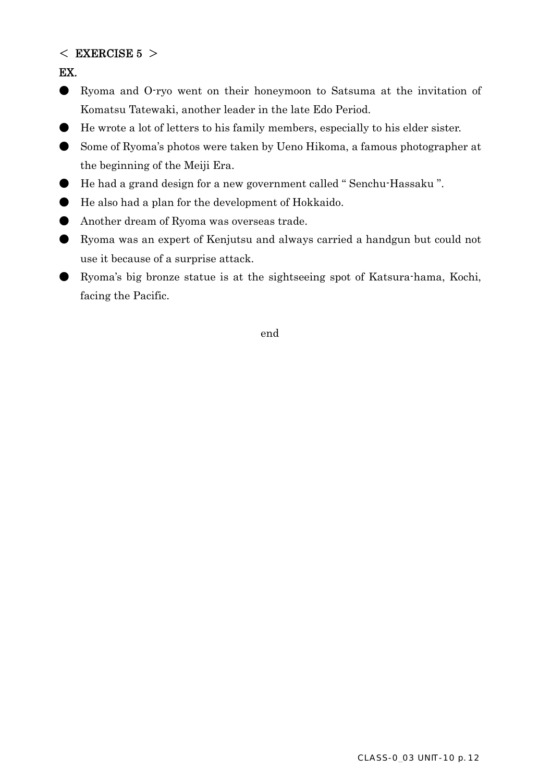## $<$  EXERCISE 5  $>$

EX.

- Ryoma and O-ryo went on their honeymoon to Satsuma at the invitation of Komatsu Tatewaki, another leader in the late Edo Period.
- He wrote a lot of letters to his family members, especially to his elder sister.
- Some of Ryoma's photos were taken by Ueno Hikoma, a famous photographer at the beginning of the Meiji Era.
- He had a grand design for a new government called "Senchu-Hassaku".
- He also had a plan for the development of Hokkaido.
- Another dream of Ryoma was overseas trade.
- Ryoma was an expert of Kenjutsu and always carried a handgun but could not use it because of a surprise attack.
- Ryoma's big bronze statue is at the sightseeing spot of Katsura-hama, Kochi, facing the Pacific.

end